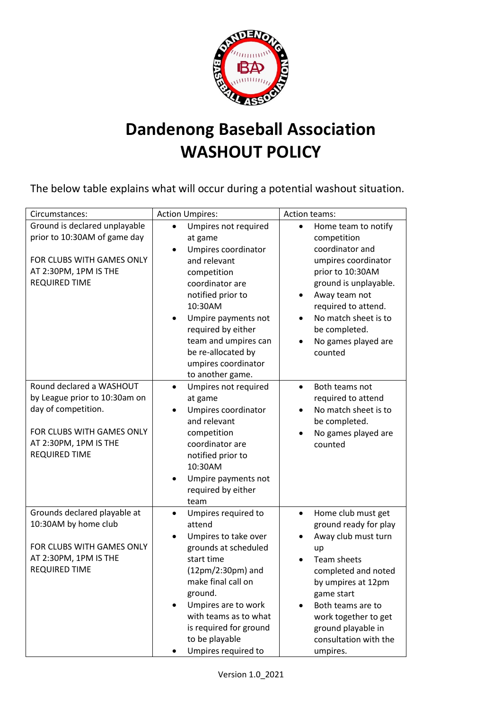

## **Dandenong Baseball Association WASHOUT POLICY**

The below table explains what will occur during a potential washout situation.

| Circumstances:                                                                                                                                                 | <b>Action Umpires:</b>                                                                                                                                                                                                                                                                                   | Action teams:                                                                                                                                                                                                                                                                  |
|----------------------------------------------------------------------------------------------------------------------------------------------------------------|----------------------------------------------------------------------------------------------------------------------------------------------------------------------------------------------------------------------------------------------------------------------------------------------------------|--------------------------------------------------------------------------------------------------------------------------------------------------------------------------------------------------------------------------------------------------------------------------------|
| Ground is declared unplayable<br>prior to 10:30AM of game day<br>FOR CLUBS WITH GAMES ONLY<br>AT 2:30PM, 1PM IS THE<br><b>REQUIRED TIME</b>                    | Umpires not required<br>$\bullet$<br>at game<br>Umpires coordinator<br>and relevant<br>competition<br>coordinator are<br>notified prior to<br>10:30AM<br>Umpire payments not<br>$\bullet$<br>required by either<br>team and umpires can<br>be re-allocated by<br>umpires coordinator<br>to another game. | Home team to notify<br>$\bullet$<br>competition<br>coordinator and<br>umpires coordinator<br>prior to 10:30AM<br>ground is unplayable.<br>Away team not<br>$\bullet$<br>required to attend.<br>No match sheet is to<br>be completed.<br>No games played are<br>counted         |
| Round declared a WASHOUT<br>by League prior to 10:30am on<br>day of competition.<br>FOR CLUBS WITH GAMES ONLY<br>AT 2:30PM, 1PM IS THE<br><b>REQUIRED TIME</b> | Umpires not required<br>$\bullet$<br>at game<br>Umpires coordinator<br>and relevant<br>competition<br>coordinator are<br>notified prior to<br>10:30AM<br>Umpire payments not<br>required by either<br>team                                                                                               | Both teams not<br>$\bullet$<br>required to attend<br>No match sheet is to<br>be completed.<br>No games played are<br>$\bullet$<br>counted                                                                                                                                      |
| Grounds declared playable at<br>10:30AM by home club<br>FOR CLUBS WITH GAMES ONLY<br>AT 2:30PM, 1PM IS THE<br><b>REQUIRED TIME</b>                             | Umpires required to<br>$\bullet$<br>attend<br>Umpires to take over<br>grounds at scheduled<br>start time<br>(12pm/2:30pm) and<br>make final call on<br>ground.<br>Umpires are to work<br>with teams as to what<br>is required for ground<br>to be playable<br>Umpires required to                        | Home club must get<br>$\bullet$<br>ground ready for play<br>Away club must turn<br>up<br><b>Team sheets</b><br>completed and noted<br>by umpires at 12pm<br>game start<br>Both teams are to<br>work together to get<br>ground playable in<br>consultation with the<br>umpires. |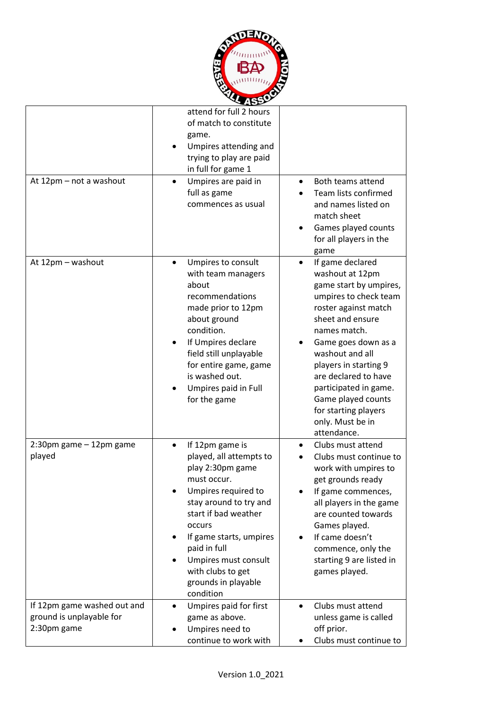

|                                                                        | attend for full 2 hours<br>of match to constitute<br>game.<br>Umpires attending and<br>trying to play are paid<br>in full for game 1                                                                                                                                                                      |                                                                                                                                                                                                                                                                                                                                                                      |
|------------------------------------------------------------------------|-----------------------------------------------------------------------------------------------------------------------------------------------------------------------------------------------------------------------------------------------------------------------------------------------------------|----------------------------------------------------------------------------------------------------------------------------------------------------------------------------------------------------------------------------------------------------------------------------------------------------------------------------------------------------------------------|
| At 12pm - not a washout                                                | Umpires are paid in<br>$\bullet$<br>full as game<br>commences as usual                                                                                                                                                                                                                                    | Both teams attend<br>$\bullet$<br>Team lists confirmed<br>and names listed on<br>match sheet<br>Games played counts<br>for all players in the<br>game                                                                                                                                                                                                                |
| At 12pm - washout                                                      | Umpires to consult<br>with team managers<br>about<br>recommendations<br>made prior to 12pm<br>about ground<br>condition.<br>If Umpires declare<br>field still unplayable<br>for entire game, game<br>is washed out.<br>Umpires paid in Full<br>for the game                                               | If game declared<br>$\bullet$<br>washout at 12pm<br>game start by umpires,<br>umpires to check team<br>roster against match<br>sheet and ensure<br>names match.<br>Game goes down as a<br>washout and all<br>players in starting 9<br>are declared to have<br>participated in game.<br>Game played counts<br>for starting players<br>only. Must be in<br>attendance. |
| 2:30pm game - 12pm game<br>played                                      | If 12pm game is<br>$\bullet$<br>played, all attempts to<br>play 2:30pm game<br>must occur.<br>Umpires required to<br>stay around to try and<br>start if bad weather<br>occurs<br>If game starts, umpires<br>paid in full<br>Umpires must consult<br>with clubs to get<br>grounds in playable<br>condition | Clubs must attend<br>٠<br>Clubs must continue to<br>work with umpires to<br>get grounds ready<br>If game commences,<br>all players in the game<br>are counted towards<br>Games played.<br>If came doesn't<br>commence, only the<br>starting 9 are listed in<br>games played.                                                                                         |
| If 12pm game washed out and<br>ground is unplayable for<br>2:30pm game | Umpires paid for first<br>$\bullet$<br>game as above.<br>Umpires need to<br>continue to work with                                                                                                                                                                                                         | Clubs must attend<br>$\bullet$<br>unless game is called<br>off prior.<br>Clubs must continue to                                                                                                                                                                                                                                                                      |